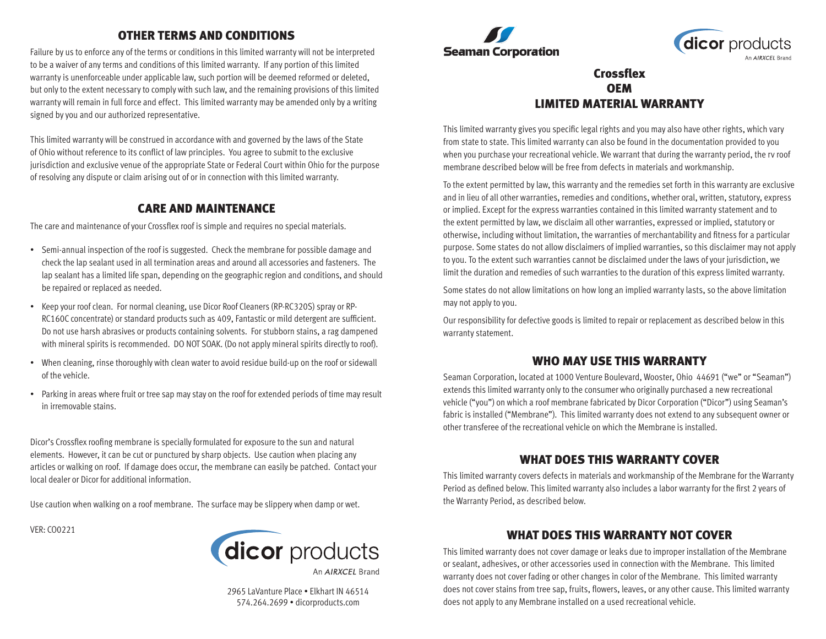## OTHER TERMS AND CONDITIONS

Failure by us to enforce any of the terms or conditions in this limited warranty will not be interpreted to be a waiver of any terms and conditions of this limited warranty. If any portion of this limited warranty is unenforceable under applicable law, such portion will be deemed reformed or deleted, but only to the extent necessary to comply with such law, and the remaining provisions of this limited warranty will remain in full force and effect. This limited warranty may be amended only by a writing signed by you and our authorized representative.

This limited warranty will be construed in accordance with and governed by the laws of the State of Ohio without reference to its conflict of law principles. You agree to submit to the exclusive jurisdiction and exclusive venue of the appropriate State or Federal Court within Ohio for the purpose of resolving any dispute or claim arising out of or in connection with this limited warranty.

#### CARE AND MAINTENANCE

The care and maintenance of your Crossflex roof is simple and requires no special materials.

- Semi-annual inspection of the roof is suggested. Check the membrane for possible damage and check the lap sealant used in all termination areas and around all accessories and fasteners. The lap sealant has a limited life span, depending on the geographic region and conditions, and should be repaired or replaced as needed.
- Keep your roof clean. For normal cleaning, use Dicor Roof Cleaners (RP-RC320S) spray or RP-RC160C concentrate) or standard products such as 409, Fantastic or mild detergent are sufficient. Do not use harsh abrasives or products containing solvents. For stubborn stains, a rag dampened with mineral spirits is recommended. DO NOT SOAK. (Do not apply mineral spirits directly to roof).
- When cleaning, rinse thoroughly with clean water to avoid residue build-up on the roof or sidewall of the vehicle.
- Parking in areas where fruit or tree sap may stay on the roof for extended periods of time may result in irremovable stains.

Dicor's Crossflex roofing membrane is specially formulated for exposure to the sun and natural elements. However, it can be cut or punctured by sharp objects. Use caution when placing any articles or walking on roof. If damage does occur, the membrane can easily be patched. Contact your local dealer or Dicor for additional information.

Use caution when walking on a roof membrane. The surface may be slippery when damp or wet.

VER: CO0221



An AIRXCFI Brand

2965 LaVanture Place • Elkhart IN 46514 574.264.2699 • dicorproducts.com





## Crossflex **OEM** LIMITED MATERIAL WARRANTY

This limited warranty gives you specific legal rights and you may also have other rights, which vary from state to state. This limited warranty can also be found in the documentation provided to you when you purchase your recreational vehicle. We warrant that during the warranty period, the rv roof membrane described below will be free from defects in materials and workmanship.

To the extent permitted by law, this warranty and the remedies set forth in this warranty are exclusive and in lieu of all other warranties, remedies and conditions, whether oral, written, statutory, express or implied. Except for the express warranties contained in this limited warranty statement and to the extent permitted by law, we disclaim all other warranties, expressed or implied, statutory or otherwise, including without limitation, the warranties of merchantability and fitness for a particular purpose. Some states do not allow disclaimers of implied warranties, so this disclaimer may not apply to you. To the extent such warranties cannot be disclaimed under the laws of your jurisdiction, we limit the duration and remedies of such warranties to the duration of this express limited warranty.

Some states do not allow limitations on how long an implied warranty lasts, so the above limitation may not apply to you.

Our responsibility for defective goods is limited to repair or replacement as described below in this warranty statement.

### WHO MAY USE THIS WARRANTY

Seaman Corporation, located at 1000 Venture Boulevard, Wooster, Ohio 44691 ("we" or "Seaman") extends this limited warranty only to the consumer who originally purchased a new recreational vehicle ("you") on which a roof membrane fabricated by Dicor Corporation ("Dicor") using Seaman's fabric is installed ("Membrane"). This limited warranty does not extend to any subsequent owner or other transferee of the recreational vehicle on which the Membrane is installed.

### WHAT DOES THIS WARRANTY COVER

This limited warranty covers defects in materials and workmanship of the Membrane for the Warranty Period as defined below. This limited warranty also includes a labor warranty for the first 2 years of the Warranty Period, as described below.

# WHAT DOES THIS WARRANTY NOT COVER

This limited warranty does not cover damage or leaks due to improper installation of the Membrane or sealant, adhesives, or other accessories used in connection with the Membrane. This limited warranty does not cover fading or other changes in color of the Membrane. This limited warranty does not cover stains from tree sap, fruits, flowers, leaves, or any other cause. This limited warranty does not apply to any Membrane installed on a used recreational vehicle.